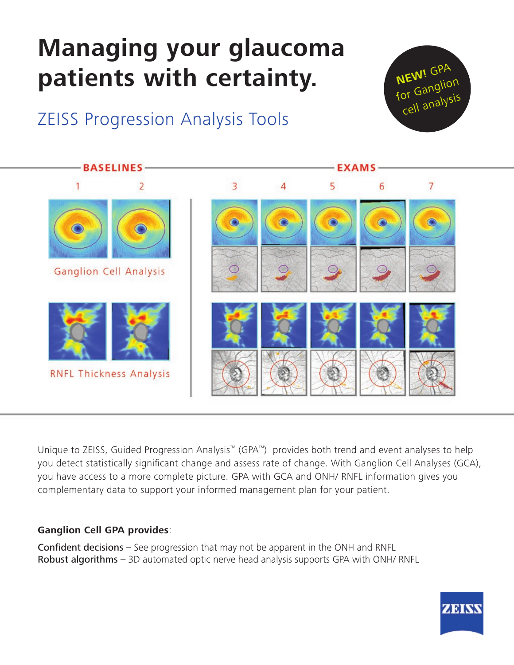# **Managing your glaucoma patients with certainty.**







Unique to ZEISS, Guided Progression Analysis™ (GPA™) provides both trend and event analyses to help you detect statistically significant change and assess rate of change. With Ganglion Cell Analyses (GCA), you have access to a more complete picture. GPA with GCA and ONH/ RNFL information gives you complementary data to support your informed management plan for your patient.

#### **Ganglion Cell GPA provides**:

**Confident decisions**  $-$  See progression that may not be apparent in the ONH and RNFL Robust algorithms - 3D automated optic nerve head analysis supports GPA with ONH/ RNFL